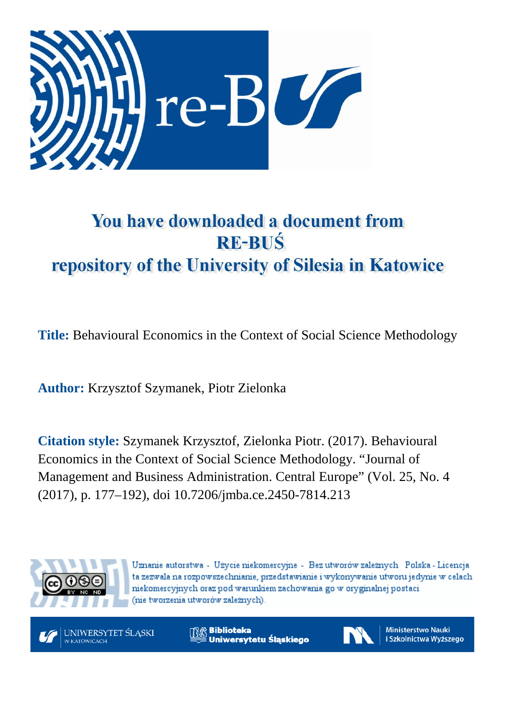

# You have downloaded a document from **RE-BUŚ** repository of the University of Silesia in Katowice

**Title:** Behavioural Economics in the Context of Social Science Methodology

**Author:** Krzysztof Szymanek, Piotr Zielonka

**Citation style:** Szymanek Krzysztof, Zielonka Piotr. (2017). Behavioural Economics in the Context of Social Science Methodology. "Journal of Management and Business Administration. Central Europe" (Vol. 25, No. 4 (2017), p. 177–192), doi 10.7206/jmba.ce.2450-7814.213



Uznanie autorstwa - Użycie niekomercyjne - Bez utworów zależnych Polska - Licencja ta zezwala na rozpowszechnianie, przedstawianie i wykonywanie utworu jedynie w celach niekomercyjnych oraz pod warunkiem zachowania go w oryginalnej postaci (nie tworzenia utworów zależnych).



**Biblioteka** Uniwersytetu Śląskiego



**Ministerstwo Nauki** i Szkolnictwa Wyższego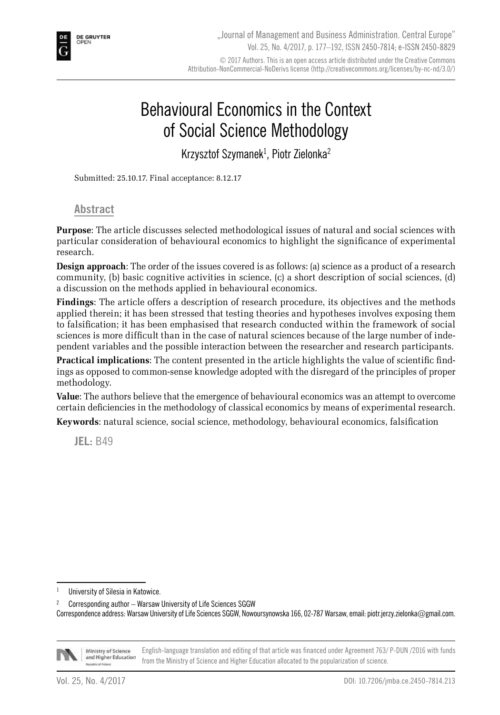

## Behavioural Economics in the Context of Social Science Methodology

Krzysztof Szymanek<sup>1</sup>, Piotr Zielonka<sup>2</sup>

Submitted: 25.10.17. Final acceptance: 8.12.17

#### **Abstract**

**Purpose**: The article discusses selected methodological issues of natural and social sciences with particular consideration of behavioural economics to highlight the significance of experimental research.

**Design approach**: The order of the issues covered is as follows: (a) science as a product of a research community, (b) basic cognitive activities in science, (c) a short description of social sciences, (d) a discussion on the methods applied in behavioural economics.

**Findings**: The article offers a description of research procedure, its objectives and the methods applied therein; it has been stressed that testing theories and hypotheses involves exposing them to falsification; it has been emphasised that research conducted within the framework of social sciences is more difficult than in the case of natural sciences because of the large number of independent variables and the possible interaction between the researcher and research participants.

**Practical implications**: The content presented in the article highlights the value of scientific findings as opposed to common-sense knowledge adopted with the disregard of the principles of proper methodology.

**Value**: The authors believe that the emergence of behavioural economics was an attempt to overcome certain deficiencies in the methodology of classical economics by means of experimental research. **Keywords**: natural science, social science, methodology, behavioural economics, falsification

**JEL:** B49

<sup>2</sup> Corresponding author – Warsaw University of Life Sciences SGGW Correspondence address: Warsaw University of Life Sciences SGGW, Nowoursynowska 166, 02-787 Warsaw, email: piotr.jerzy.zielonka@gmail.com.



Ministry of Science English-language translation and editing of that article was financed under Agreement 763/ P-DUN /2016 with funds and Higher Education from the Ministry of Science and Higher Education allocated to the popularization of science.

<sup>&</sup>lt;sup>1</sup> University of Silesia in Katowice.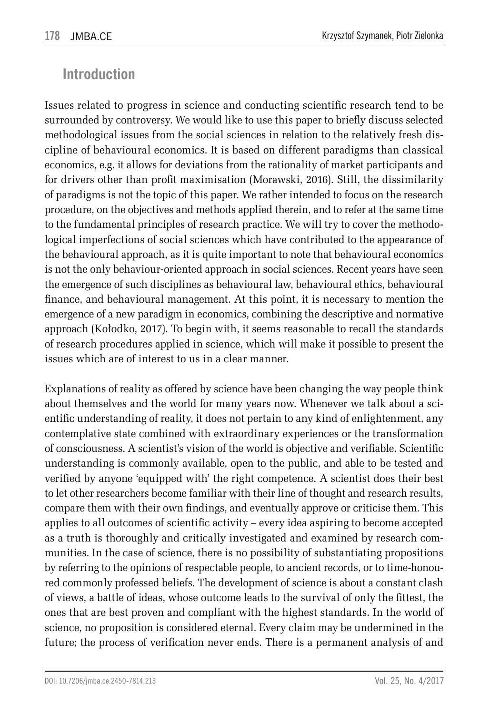## **Introduction**

Issues related to progress in science and conducting scientific research tend to be surrounded by controversy. We would like to use this paper to briefly discuss selected methodological issues from the social sciences in relation to the relatively fresh discipline of behavioural economics. It is based on different paradigms than classical economics, e.g. it allows for deviations from the rationality of market participants and for drivers other than profit maximisation (Morawski, 2016). Still, the dissimilarity of paradigms is not the topic of this paper. We rather intended to focus on the research procedure, on the objectives and methods applied therein, and to refer at the same time to the fundamental principles of research practice. We will try to cover the methodological imperfections of social sciences which have contributed to the appearance of the behavioural approach, as it is quite important to note that behavioural economics is not the only behaviour-oriented approach in social sciences. Recent years have seen the emergence of such disciplines as behavioural law, behavioural ethics, behavioural finance, and behavioural management. At this point, it is necessary to mention the emergence of a new paradigm in economics, combining the descriptive and normative approach (Kołodko, 2017). To begin with, it seems reasonable to recall the standards of research procedures applied in science, which will make it possible to present the issues which are of interest to us in a clear manner.

Explanations of reality as offered by science have been changing the way people think about themselves and the world for many years now. Whenever we talk about a scientific understanding of reality, it does not pertain to any kind of enlightenment, any contemplative state combined with extraordinary experiences or the transformation of consciousness. A scientist's vision of the world is objective and verifiable. Scientific understanding is commonly available, open to the public, and able to be tested and verified by anyone 'equipped with' the right competence. A scientist does their best to let other researchers become familiar with their line of thought and research results, compare them with their own findings, and eventually approve or criticise them. This applies to all outcomes of scientific activity – every idea aspiring to become accepted as a truth is thoroughly and critically investigated and examined by research communities. In the case of science, there is no possibility of substantiating propositions by referring to the opinions of respectable people, to ancient records, or to time-honoured commonly professed beliefs. The development of science is about a constant clash of views, a battle of ideas, whose outcome leads to the survival of only the fittest, the ones that are best proven and compliant with the highest standards. In the world of science, no proposition is considered eternal. Every claim may be undermined in the future; the process of verification never ends. There is a permanent analysis of and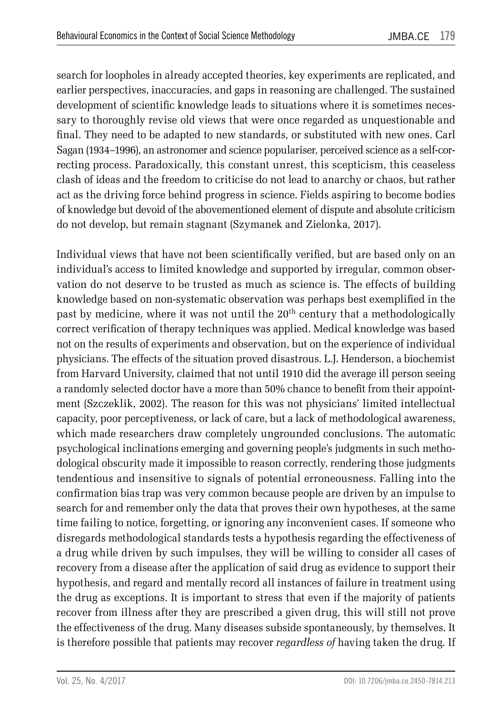search for loopholes in already accepted theories, key experiments are replicated, and earlier perspectives, inaccuracies, and gaps in reasoning are challenged. The sustained development of scientific knowledge leads to situations where it is sometimes necessary to thoroughly revise old views that were once regarded as unquestionable and final. They need to be adapted to new standards, or substituted with new ones. Carl Sagan (1934–1996), an astronomer and science populariser, perceived science as a self-correcting process. Paradoxically, this constant unrest, this scepticism, this ceaseless clash of ideas and the freedom to criticise do not lead to anarchy or chaos, but rather act as the driving force behind progress in science. Fields aspiring to become bodies of knowledge but devoid of the abovementioned element of dispute and absolute criticism do not develop, but remain stagnant (Szymanek and Zielonka, 2017).

Individual views that have not been scientifically verified, but are based only on an individual's access to limited knowledge and supported by irregular, common observation do not deserve to be trusted as much as science is. The effects of building knowledge based on non-systematic observation was perhaps best exemplified in the past by medicine, where it was not until the  $20<sup>th</sup>$  century that a methodologically correct verification of therapy techniques was applied. Medical knowledge was based not on the results of experiments and observation, but on the experience of individual physicians. The effects of the situation proved disastrous. L.J. Henderson, a biochemist from Harvard University, claimed that not until 1910 did the average ill person seeing a randomly selected doctor have a more than 50% chance to benefit from their appointment (Szczeklik, 2002). The reason for this was not physicians' limited intellectual capacity, poor perceptiveness, or lack of care, but a lack of methodological awareness, which made researchers draw completely ungrounded conclusions. The automatic psychological inclinations emerging and governing people's judgments in such methodological obscurity made it impossible to reason correctly, rendering those judgments tendentious and insensitive to signals of potential erroneousness. Falling into the confirmation bias trap was very common because people are driven by an impulse to search for and remember only the data that proves their own hypotheses, at the same time failing to notice, forgetting, or ignoring any inconvenient cases. If someone who disregards methodological standards tests a hypothesis regarding the effectiveness of a drug while driven by such impulses, they will be willing to consider all cases of recovery from a disease after the application of said drug as evidence to support their hypothesis, and regard and mentally record all instances of failure in treatment using the drug as exceptions. It is important to stress that even if the majority of patients recover from illness after they are prescribed a given drug, this will still not prove the effectiveness of the drug. Many diseases subside spontaneously, by themselves. It is therefore possible that patients may recover *regardless of* having taken the drug. If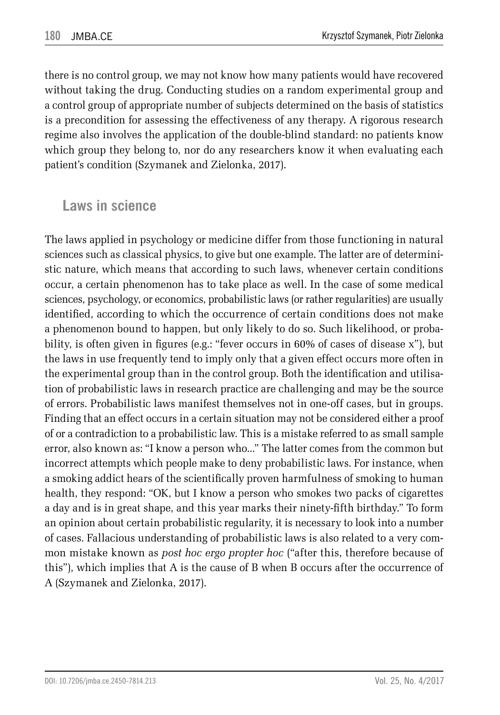there is no control group, we may not know how many patients would have recovered without taking the drug. Conducting studies on a random experimental group and a control group of appropriate number of subjects determined on the basis of statistics is a precondition for assessing the effectiveness of any therapy. A rigorous research regime also involves the application of the double-blind standard: no patients know which group they belong to, nor do any researchers know it when evaluating each patient's condition (Szymanek and Zielonka, 2017).

#### **Laws in science**

The laws applied in psychology or medicine differ from those functioning in natural sciences such as classical physics, to give but one example. The latter are of deterministic nature, which means that according to such laws, whenever certain conditions occur, a certain phenomenon has to take place as well. In the case of some medical sciences, psychology, or economics, probabilistic laws (or rather regularities) are usually identified, according to which the occurrence of certain conditions does not make a phenomenon bound to happen, but only likely to do so. Such likelihood, or probability, is often given in figures (e.g.: "fever occurs in 60% of cases of disease x"), but the laws in use frequently tend to imply only that a given effect occurs more often in the experimental group than in the control group. Both the identification and utilisation of probabilistic laws in research practice are challenging and may be the source of errors. Probabilistic laws manifest themselves not in one-off cases, but in groups. Finding that an effect occurs in a certain situation may not be considered either a proof of or a contradiction to a probabilistic law. This is a mistake referred to as small sample error, also known as: "I know a person who..." The latter comes from the common but incorrect attempts which people make to deny probabilistic laws. For instance, when a smoking addict hears of the scientifically proven harmfulness of smoking to human health, they respond: "OK, but I know a person who smokes two packs of cigarettes a day and is in great shape, and this year marks their ninety-fifth birthday." To form an opinion about certain probabilistic regularity, it is necessary to look into a number of cases. Fallacious understanding of probabilistic laws is also related to a very common mistake known as *post hoc ergo propter hoc* ("after this, therefore because of this"), which implies that A is the cause of B when B occurs after the occurrence of A (Szymanek and Zielonka, 2017).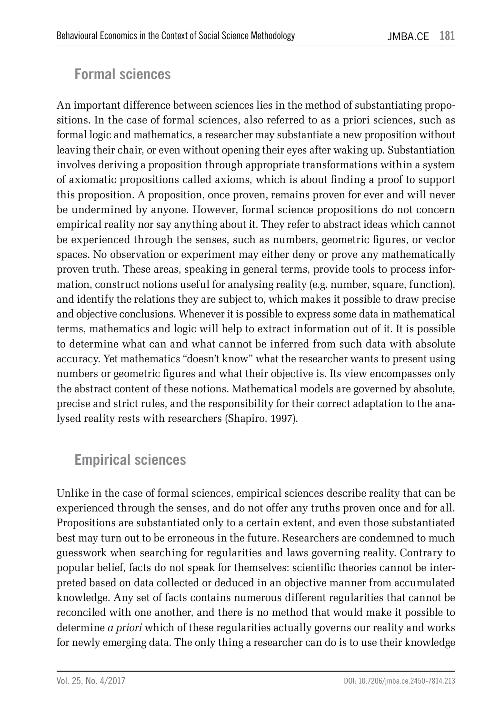### **Formal sciences**

An important difference between sciences lies in the method of substantiating propositions. In the case of formal sciences, also referred to as a priori sciences, such as formal logic and mathematics, a researcher may substantiate a new proposition without leaving their chair, or even without opening their eyes after waking up. Substantiation involves deriving a proposition through appropriate transformations within a system of axiomatic propositions called axioms, which is about finding a proof to support this proposition. A proposition, once proven, remains proven for ever and will never be undermined by anyone. However, formal science propositions do not concern empirical reality nor say anything about it. They refer to abstract ideas which cannot be experienced through the senses, such as numbers, geometric figures, or vector spaces. No observation or experiment may either deny or prove any mathematically proven truth. These areas, speaking in general terms, provide tools to process information, construct notions useful for analysing reality (e.g. number, square, function), and identify the relations they are subject to, which makes it possible to draw precise and objective conclusions. Whenever it is possible to express some data in mathematical terms, mathematics and logic will help to extract information out of it. It is possible to determine what can and what cannot be inferred from such data with absolute accuracy. Yet mathematics "doesn't know" what the researcher wants to present using numbers or geometric figures and what their objective is. Its view encompasses only the abstract content of these notions. Mathematical models are governed by absolute, precise and strict rules, and the responsibility for their correct adaptation to the analysed reality rests with researchers (Shapiro, 1997).

#### **Empirical sciences**

Unlike in the case of formal sciences, empirical sciences describe reality that can be experienced through the senses, and do not offer any truths proven once and for all. Propositions are substantiated only to a certain extent, and even those substantiated best may turn out to be erroneous in the future. Researchers are condemned to much guesswork when searching for regularities and laws governing reality. Contrary to popular belief, facts do not speak for themselves: scientific theories cannot be interpreted based on data collected or deduced in an objective manner from accumulated knowledge. Any set of facts contains numerous different regularities that cannot be reconciled with one another, and there is no method that would make it possible to determine *a priori* which of these regularities actually governs our reality and works for newly emerging data. The only thing a researcher can do is to use their knowledge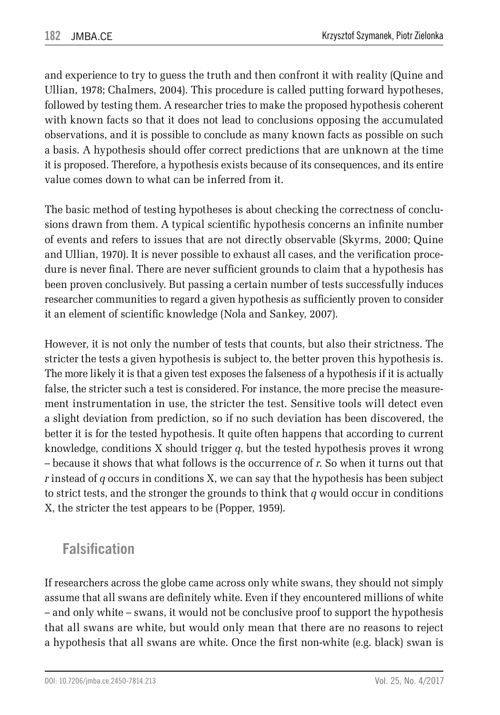and experience to try to guess the truth and then confront it with reality (Quine and Ullian, 1978; Chalmers, 2004). This procedure is called putting forward hypotheses, followed by testing them. A researcher tries to make the proposed hypothesis coherent with known facts so that it does not lead to conclusions opposing the accumulated observations, and it is possible to conclude as many known facts as possible on such a basis. A hypothesis should offer correct predictions that are unknown at the time it is proposed. Therefore, a hypothesis exists because of its consequences, and its entire value comes down to what can be inferred from it.

The basic method of testing hypotheses is about checking the correctness of conclusions drawn from them. A typical scientific hypothesis concerns an infinite number of events and refers to issues that are not directly observable (Skyrms, 2000; Quine and Ullian, 1970). It is never possible to exhaust all cases, and the verification procedure is never final. There are never sufficient grounds to claim that a hypothesis has been proven conclusively. But passing a certain number of tests successfully induces researcher communities to regard a given hypothesis as sufficiently proven to consider it an element of scientific knowledge (Nola and Sankey, 2007).

However, it is not only the number of tests that counts, but also their strictness. The stricter the tests a given hypothesis is subject to, the better proven this hypothesis is. The more likely it is that a given test exposes the falseness of a hypothesis if it is actually false, the stricter such a test is considered. For instance, the more precise the measurement instrumentation in use, the stricter the test. Sensitive tools will detect even a slight deviation from prediction, so if no such deviation has been discovered, the better it is for the tested hypothesis. It quite often happens that according to current knowledge, conditions X should trigger *q*, but the tested hypothesis proves it wrong – because it shows that what follows is the occurrence of *r*. So when it turns out that *r* instead of *q* occurs in conditions X, we can say that the hypothesis has been subject to strict tests, and the stronger the grounds to think that *q* would occur in conditions X, the stricter the test appears to be (Popper, 1959).

### **Falsification**

If researchers across the globe came across only white swans, they should not simply assume that all swans are definitely white. Even if they encountered millions of white – and only white – swans, it would not be conclusive proof to support the hypothesis that all swans are white, but would only mean that there are no reasons to reject a hypothesis that all swans are white. Once the first non-white (e.g. black) swan is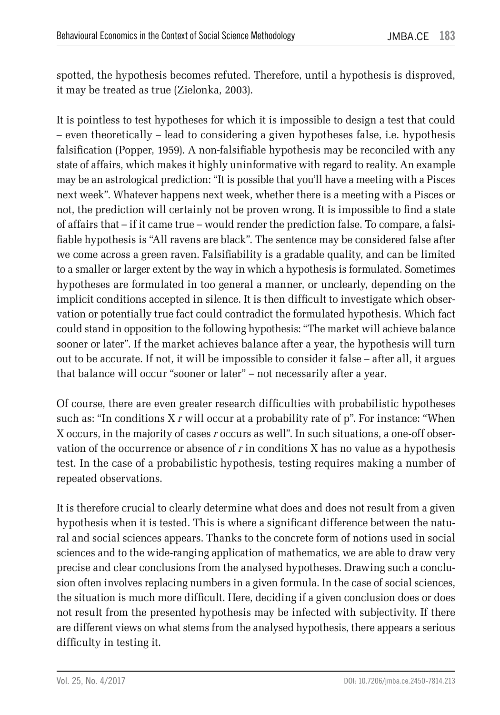spotted, the hypothesis becomes refuted. Therefore, until a hypothesis is disproved, it may be treated as true (Zielonka, 2003).

It is pointless to test hypotheses for which it is impossible to design a test that could – even theoretically – lead to considering a given hypotheses false, i.e. hypothesis falsification (Popper, 1959). A non-falsifiable hypothesis may be reconciled with any state of affairs, which makes it highly uninformative with regard to reality. An example may be an astrological prediction: "It is possible that you'll have a meeting with a Pisces next week". Whatever happens next week, whether there is a meeting with a Pisces or not, the prediction will certainly not be proven wrong. It is impossible to find a state of affairs that – if it came true – would render the prediction false. To compare, a falsifiable hypothesis is "All ravens are black". The sentence may be considered false after we come across a green raven. Falsifiability is a gradable quality, and can be limited to a smaller or larger extent by the way in which a hypothesis is formulated. Sometimes hypotheses are formulated in too general a manner, or unclearly, depending on the implicit conditions accepted in silence. It is then difficult to investigate which observation or potentially true fact could contradict the formulated hypothesis. Which fact could stand in opposition to the following hypothesis: "The market will achieve balance sooner or later". If the market achieves balance after a year, the hypothesis will turn out to be accurate. If not, it will be impossible to consider it false – after all, it argues that balance will occur "sooner or later" – not necessarily after a year.

Of course, there are even greater research difficulties with probabilistic hypotheses such as: "In conditions X *r* will occur at a probability rate of p". For instance: "When X occurs, in the majority of cases *r* occurs as well". In such situations, a one-off observation of the occurrence or absence of *r* in conditions X has no value as a hypothesis test. In the case of a probabilistic hypothesis, testing requires making a number of repeated observations.

It is therefore crucial to clearly determine what does and does not result from a given hypothesis when it is tested. This is where a significant difference between the natural and social sciences appears. Thanks to the concrete form of notions used in social sciences and to the wide-ranging application of mathematics, we are able to draw very precise and clear conclusions from the analysed hypotheses. Drawing such a conclusion often involves replacing numbers in a given formula. In the case of social sciences, the situation is much more difficult. Here, deciding if a given conclusion does or does not result from the presented hypothesis may be infected with subjectivity. If there are different views on what stems from the analysed hypothesis, there appears a serious difficulty in testing it.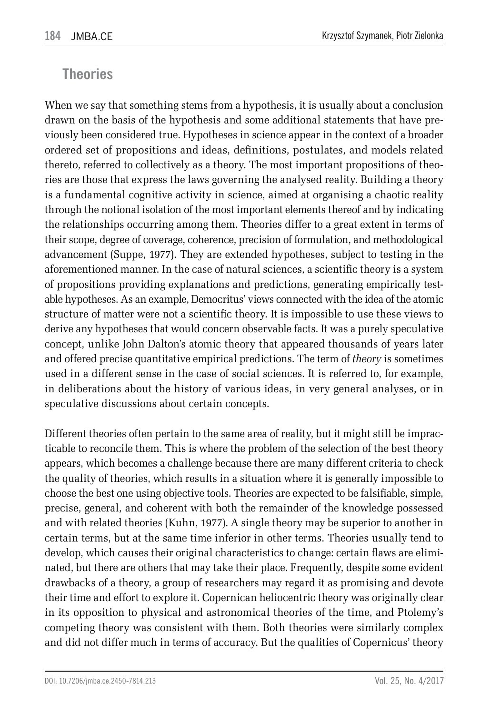#### **Theories**

When we say that something stems from a hypothesis, it is usually about a conclusion drawn on the basis of the hypothesis and some additional statements that have previously been considered true. Hypotheses in science appear in the context of a broader ordered set of propositions and ideas, definitions, postulates, and models related thereto, referred to collectively as a theory. The most important propositions of theories are those that express the laws governing the analysed reality. Building a theory is a fundamental cognitive activity in science, aimed at organising a chaotic reality through the notional isolation of the most important elements thereof and by indicating the relationships occurring among them. Theories differ to a great extent in terms of their scope, degree of coverage, coherence, precision of formulation, and methodological advancement (Suppe, 1977). They are extended hypotheses, subject to testing in the aforementioned manner. In the case of natural sciences, a scientific theory is a system of propositions providing explanations and predictions, generating empirically testable hypotheses. As an example, Democritus' views connected with the idea of the atomic structure of matter were not a scientific theory. It is impossible to use these views to derive any hypotheses that would concern observable facts. It was a purely speculative concept, unlike John Dalton's atomic theory that appeared thousands of years later and offered precise quantitative empirical predictions. The term of *theory* is sometimes used in a different sense in the case of social sciences. It is referred to, for example, in deliberations about the history of various ideas, in very general analyses, or in speculative discussions about certain concepts.

Different theories often pertain to the same area of reality, but it might still be impracticable to reconcile them. This is where the problem of the selection of the best theory appears, which becomes a challenge because there are many different criteria to check the quality of theories, which results in a situation where it is generally impossible to choose the best one using objective tools. Theories are expected to be falsifiable, simple, precise, general, and coherent with both the remainder of the knowledge possessed and with related theories (Kuhn, 1977). A single theory may be superior to another in certain terms, but at the same time inferior in other terms. Theories usually tend to develop, which causes their original characteristics to change: certain flaws are eliminated, but there are others that may take their place. Frequently, despite some evident drawbacks of a theory, a group of researchers may regard it as promising and devote their time and effort to explore it. Copernican heliocentric theory was originally clear in its opposition to physical and astronomical theories of the time, and Ptolemy's competing theory was consistent with them. Both theories were similarly complex and did not differ much in terms of accuracy. But the qualities of Copernicus' theory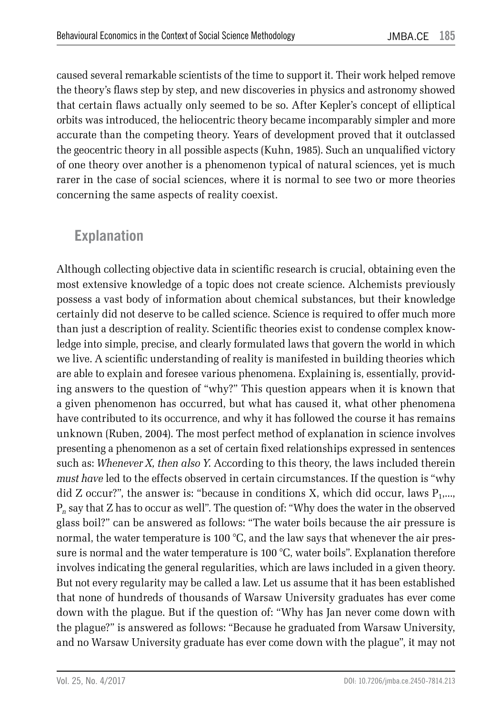caused several remarkable scientists of the time to support it. Their work helped remove the theory's flaws step by step, and new discoveries in physics and astronomy showed that certain flaws actually only seemed to be so. After Kepler's concept of elliptical orbits was introduced, the heliocentric theory became incomparably simpler and more accurate than the competing theory. Years of development proved that it outclassed the geocentric theory in all possible aspects (Kuhn, 1985). Such an unqualified victory of one theory over another is a phenomenon typical of natural sciences, yet is much rarer in the case of social sciences, where it is normal to see two or more theories concerning the same aspects of reality coexist.

#### **Explanation**

Although collecting objective data in scientific research is crucial, obtaining even the most extensive knowledge of a topic does not create science. Alchemists previously possess a vast body of information about chemical substances, but their knowledge certainly did not deserve to be called science. Science is required to offer much more than just a description of reality. Scientific theories exist to condense complex knowledge into simple, precise, and clearly formulated laws that govern the world in which we live. A scientific understanding of reality is manifested in building theories which are able to explain and foresee various phenomena. Explaining is, essentially, providing answers to the question of "why?" This question appears when it is known that a given phenomenon has occurred, but what has caused it, what other phenomena have contributed to its occurrence, and why it has followed the course it has remains unknown (Ruben, 2004). The most perfect method of explanation in science involves presenting a phenomenon as a set of certain fixed relationships expressed in sentences such as: *Whenever X, then also Y*. According to this theory, the laws included therein *must have* led to the effects observed in certain circumstances. If the question is "why did Z occur?", the answer is: "because in conditions X, which did occur, laws  $P_1,...,P_k$ P*n* say that Z has to occur as well". The question of: "Why does the water in the observed glass boil?" can be answered as follows: "The water boils because the air pressure is normal, the water temperature is 100 °C, and the law says that whenever the air pressure is normal and the water temperature is 100 °C, water boils". Explanation therefore involves indicating the general regularities, which are laws included in a given theory. But not every regularity may be called a law. Let us assume that it has been established that none of hundreds of thousands of Warsaw University graduates has ever come down with the plague. But if the question of: "Why has Jan never come down with the plague?" is answered as follows: "Because he graduated from Warsaw University, and no Warsaw University graduate has ever come down with the plague", it may not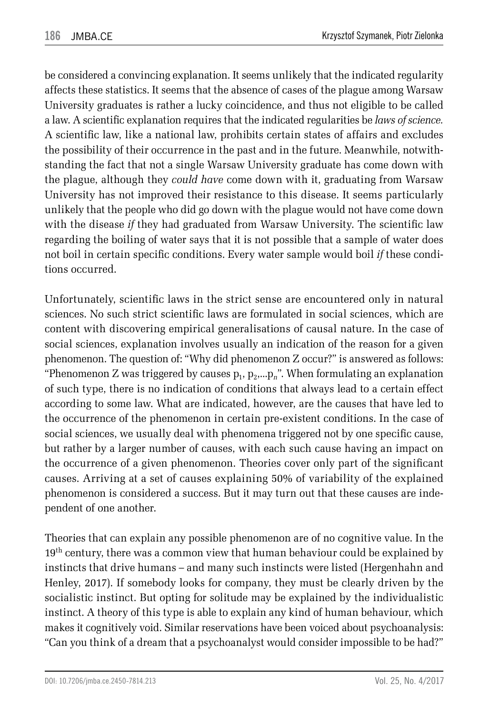be considered a convincing explanation. It seems unlikely that the indicated regularity affects these statistics. It seems that the absence of cases of the plague among Warsaw University graduates is rather a lucky coincidence, and thus not eligible to be called a law. A scientific explanation requires that the indicated regularities be *laws of science.*  A scientific law, like a national law, prohibits certain states of affairs and excludes the possibility of their occurrence in the past and in the future. Meanwhile, notwithstanding the fact that not a single Warsaw University graduate has come down with the plague, although they *could have* come down with it, graduating from Warsaw University has not improved their resistance to this disease. It seems particularly unlikely that the people who did go down with the plague would not have come down with the disease *if* they had graduated from Warsaw University. The scientific law regarding the boiling of water says that it is not possible that a sample of water does not boil in certain specific conditions. Every water sample would boil *if* these conditions occurred.

Unfortunately, scientific laws in the strict sense are encountered only in natural sciences. No such strict scientific laws are formulated in social sciences, which are content with discovering empirical generalisations of causal nature. In the case of social sciences, explanation involves usually an indication of the reason for a given phenomenon. The question of: "Why did phenomenon Z occur?" is answered as follows: "Phenomenon Z was triggered by causes  $p_1, p_2,...p_n$ ". When formulating an explanation of such type, there is no indication of conditions that always lead to a certain effect according to some law. What are indicated, however, are the causes that have led to the occurrence of the phenomenon in certain pre-existent conditions. In the case of social sciences, we usually deal with phenomena triggered not by one specific cause, but rather by a larger number of causes, with each such cause having an impact on the occurrence of a given phenomenon. Theories cover only part of the significant causes. Arriving at a set of causes explaining 50% of variability of the explained phenomenon is considered a success. But it may turn out that these causes are independent of one another.

Theories that can explain any possible phenomenon are of no cognitive value. In the 19<sup>th</sup> century, there was a common view that human behaviour could be explained by instincts that drive humans – and many such instincts were listed (Hergenhahn and Henley, 2017). If somebody looks for company, they must be clearly driven by the socialistic instinct. But opting for solitude may be explained by the individualistic instinct. A theory of this type is able to explain any kind of human behaviour, which makes it cognitively void. Similar reservations have been voiced about psychoanalysis: "Can you think of a dream that a psychoanalyst would consider impossible to be had?"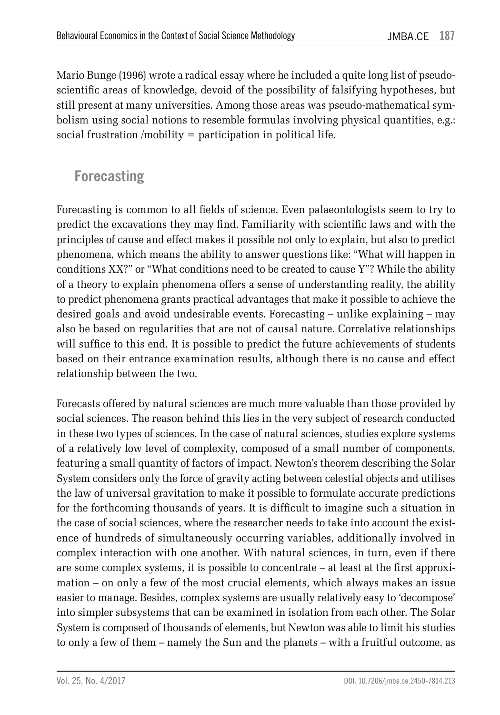Mario Bunge (1996) wrote a radical essay where he included a quite long list of pseudoscientific areas of knowledge, devoid of the possibility of falsifying hypotheses, but still present at many universities. Among those areas was pseudo-mathematical symbolism using social notions to resemble formulas involving physical quantities, e.g.: social frustration /mobility = participation in political life.

#### **Forecasting**

Forecasting is common to all fields of science. Even palaeontologists seem to try to predict the excavations they may find. Familiarity with scientific laws and with the principles of cause and effect makes it possible not only to explain, but also to predict phenomena, which means the ability to answer questions like: "What will happen in conditions XX?" or "What conditions need to be created to cause Y"? While the ability of a theory to explain phenomena offers a sense of understanding reality, the ability to predict phenomena grants practical advantages that make it possible to achieve the desired goals and avoid undesirable events. Forecasting – unlike explaining – may also be based on regularities that are not of causal nature. Correlative relationships will suffice to this end. It is possible to predict the future achievements of students based on their entrance examination results, although there is no cause and effect relationship between the two.

Forecasts offered by natural sciences are much more valuable than those provided by social sciences. The reason behind this lies in the very subject of research conducted in these two types of sciences. In the case of natural sciences, studies explore systems of a relatively low level of complexity, composed of a small number of components, featuring a small quantity of factors of impact. Newton's theorem describing the Solar System considers only the force of gravity acting between celestial objects and utilises the law of universal gravitation to make it possible to formulate accurate predictions for the forthcoming thousands of years. It is difficult to imagine such a situation in the case of social sciences, where the researcher needs to take into account the existence of hundreds of simultaneously occurring variables, additionally involved in complex interaction with one another. With natural sciences, in turn, even if there are some complex systems, it is possible to concentrate – at least at the first approximation – on only a few of the most crucial elements, which always makes an issue easier to manage. Besides, complex systems are usually relatively easy to 'decompose' into simpler subsystems that can be examined in isolation from each other. The Solar System is composed of thousands of elements, but Newton was able to limit his studies to only a few of them – namely the Sun and the planets – with a fruitful outcome, as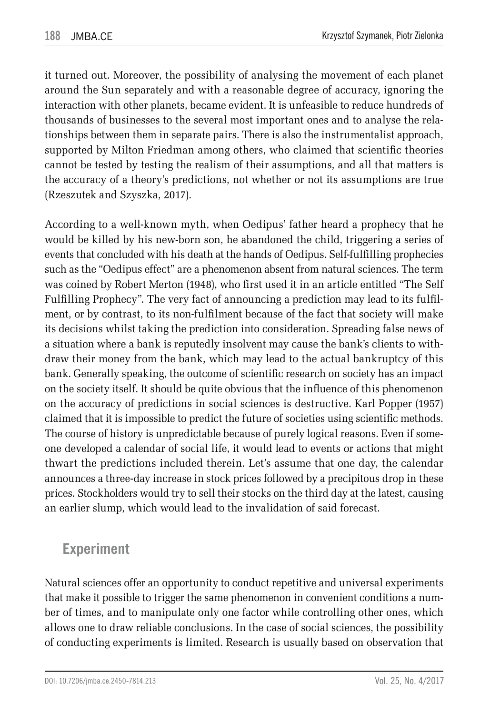it turned out. Moreover, the possibility of analysing the movement of each planet around the Sun separately and with a reasonable degree of accuracy, ignoring the interaction with other planets, became evident. It is unfeasible to reduce hundreds of thousands of businesses to the several most important ones and to analyse the relationships between them in separate pairs. There is also the instrumentalist approach, supported by Milton Friedman among others, who claimed that scientific theories cannot be tested by testing the realism of their assumptions, and all that matters is the accuracy of a theory's predictions, not whether or not its assumptions are true (Rzeszutek and Szyszka, 2017).

According to a well-known myth, when Oedipus' father heard a prophecy that he would be killed by his new-born son, he abandoned the child, triggering a series of events that concluded with his death at the hands of Oedipus. Self-fulfilling prophecies such as the "Oedipus effect" are a phenomenon absent from natural sciences. The term was coined by Robert Merton (1948), who first used it in an article entitled "The Self Fulfilling Prophecy". The very fact of announcing a prediction may lead to its fulfilment, or by contrast, to its non-fulfilment because of the fact that society will make its decisions whilst taking the prediction into consideration. Spreading false news of a situation where a bank is reputedly insolvent may cause the bank's clients to withdraw their money from the bank, which may lead to the actual bankruptcy of this bank. Generally speaking, the outcome of scientific research on society has an impact on the society itself. It should be quite obvious that the influence of this phenomenon on the accuracy of predictions in social sciences is destructive. Karl Popper (1957) claimed that it is impossible to predict the future of societies using scientific methods. The course of history is unpredictable because of purely logical reasons. Even if someone developed a calendar of social life, it would lead to events or actions that might thwart the predictions included therein. Let's assume that one day, the calendar announces a three-day increase in stock prices followed by a precipitous drop in these prices. Stockholders would try to sell their stocks on the third day at the latest, causing an earlier slump, which would lead to the invalidation of said forecast.

#### **Experiment**

Natural sciences offer an opportunity to conduct repetitive and universal experiments that make it possible to trigger the same phenomenon in convenient conditions a number of times, and to manipulate only one factor while controlling other ones, which allows one to draw reliable conclusions. In the case of social sciences, the possibility of conducting experiments is limited. Research is usually based on observation that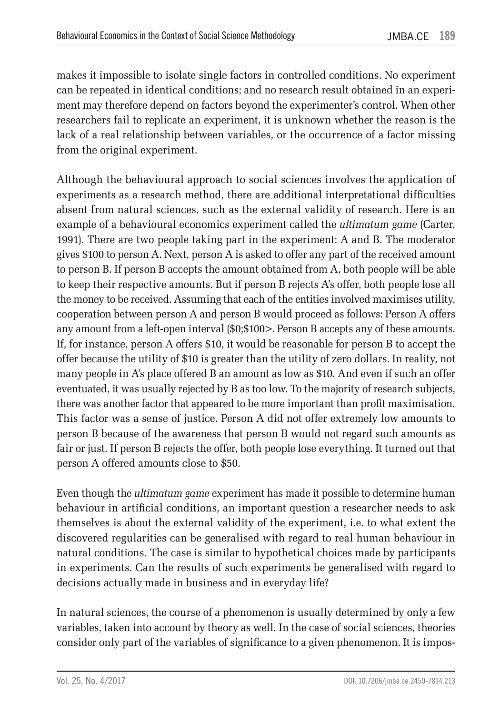makes it impossible to isolate single factors in controlled conditions. No experiment can be repeated in identical conditions; and no research result obtained in an experiment may therefore depend on factors beyond the experimenter's control. When other researchers fail to replicate an experiment, it is unknown whether the reason is the lack of a real relationship between variables, or the occurrence of a factor missing from the original experiment.

Although the behavioural approach to social sciences involves the application of experiments as a research method, there are additional interpretational difficulties absent from natural sciences, such as the external validity of research. Here is an example of a behavioural economics experiment called the *ultimatum game* (Carter, 1991). There are two people taking part in the experiment: A and B. The moderator gives \$100 to person A. Next, person A is asked to offer any part of the received amount to person B. If person B accepts the amount obtained from A, both people will be able to keep their respective amounts. But if person B rejects A's offer, both people lose all the money to be received. Assuming that each of the entities involved maximises utility, cooperation between person A and person B would proceed as follows: Person A offers any amount from a left-open interval (\$0;\$100>. Person B accepts any of these amounts. If, for instance, person A offers \$10, it would be reasonable for person B to accept the offer because the utility of \$10 is greater than the utility of zero dollars. In reality, not many people in A's place offered B an amount as low as \$10. And even if such an offer eventuated, it was usually rejected by B as too low. To the majority of research subjects, there was another factor that appeared to be more important than profit maximisation. This factor was a sense of justice. Person A did not offer extremely low amounts to person B because of the awareness that person B would not regard such amounts as fair or just. If person B rejects the offer, both people lose everything. It turned out that person A offered amounts close to \$50.

Even though the *ultimatum game* experiment has made it possible to determine human behaviour in artificial conditions, an important question a researcher needs to ask themselves is about the external validity of the experiment, i.e. to what extent the discovered regularities can be generalised with regard to real human behaviour in natural conditions. The case is similar to hypothetical choices made by participants in experiments. Can the results of such experiments be generalised with regard to decisions actually made in business and in everyday life?

In natural sciences, the course of a phenomenon is usually determined by only a few variables, taken into account by theory as well. In the case of social sciences, theories consider only part of the variables of significance to a given phenomenon. It is impos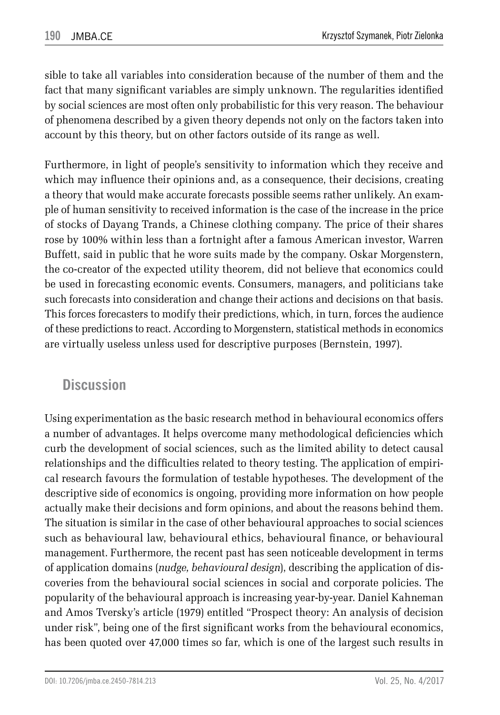sible to take all variables into consideration because of the number of them and the fact that many significant variables are simply unknown. The regularities identified by social sciences are most often only probabilistic for this very reason. The behaviour of phenomena described by a given theory depends not only on the factors taken into account by this theory, but on other factors outside of its range as well.

Furthermore, in light of people's sensitivity to information which they receive and which may influence their opinions and, as a consequence, their decisions, creating a theory that would make accurate forecasts possible seems rather unlikely. An example of human sensitivity to received information is the case of the increase in the price of stocks of Dayang Trands, a Chinese clothing company. The price of their shares rose by 100% within less than a fortnight after a famous American investor, Warren Buffett, said in public that he wore suits made by the company. Oskar Morgenstern, the co-creator of the expected utility theorem, did not believe that economics could be used in forecasting economic events. Consumers, managers, and politicians take such forecasts into consideration and change their actions and decisions on that basis. This forces forecasters to modify their predictions, which, in turn, forces the audience of these predictions to react. According to Morgenstern, statistical methods in economics are virtually useless unless used for descriptive purposes (Bernstein, 1997).

#### **Discussion**

Using experimentation as the basic research method in behavioural economics offers a number of advantages. It helps overcome many methodological deficiencies which curb the development of social sciences, such as the limited ability to detect causal relationships and the difficulties related to theory testing. The application of empirical research favours the formulation of testable hypotheses. The development of the descriptive side of economics is ongoing, providing more information on how people actually make their decisions and form opinions, and about the reasons behind them. The situation is similar in the case of other behavioural approaches to social sciences such as behavioural law, behavioural ethics, behavioural finance, or behavioural management. Furthermore, the recent past has seen noticeable development in terms of application domains (*nudge, behavioural design*), describing the application of discoveries from the behavioural social sciences in social and corporate policies. The popularity of the behavioural approach is increasing year-by-year. Daniel Kahneman and Amos Tversky's article (1979) entitled "Prospect theory: An analysis of decision under risk", being one of the first significant works from the behavioural economics, has been quoted over 47,000 times so far, which is one of the largest such results in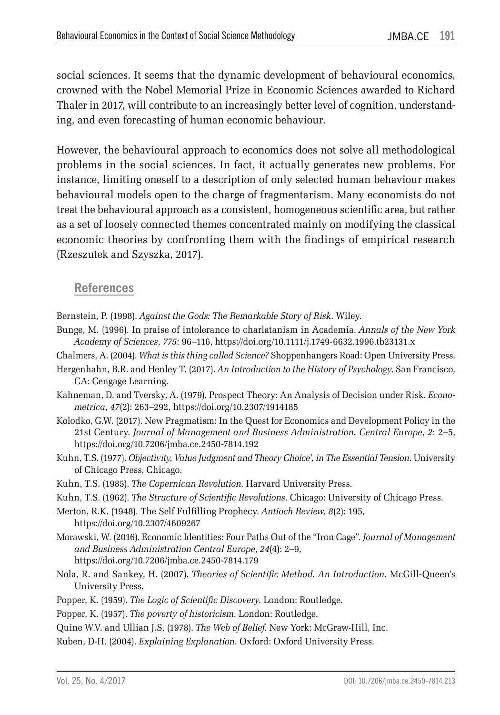social sciences. It seems that the dynamic development of behavioural economics, crowned with the Nobel Memorial Prize in Economic Sciences awarded to Richard Thaler in 2017, will contribute to an increasingly better level of cognition, understanding, and even forecasting of human economic behaviour.

However, the behavioural approach to economics does not solve all methodological problems in the social sciences. In fact, it actually generates new problems. For instance, limiting oneself to a description of only selected human behaviour makes behavioural models open to the charge of fragmentarism. Many economists do not treat the behavioural approach as a consistent, homogeneous scientific area, but rather as a set of loosely connected themes concentrated mainly on modifying the classical economic theories by confronting them with the findings of empirical research (Rzeszutek and Szyszka, 2017).

#### **References**

- Bernstein, P. (1998). *Against the Gods: The Remarkable Story of Risk*. Wiley.
- Bunge, M. (1996). In praise of intolerance to charlatanism in Academia. *Annals of the New York Academy of Sciences*, *775*: 96–116, https://doi.org/10.1111/j.1749-6632.1996.tb23131.x
- Chalmers, A. (2004). *What is this thing called Science?* Shoppenhangers Road: Open University Press.
- Hergenhahn, B.R. and Henley T. (2017). *An Introduction to the History of Psychology*. San Francisco, CA: Cengage Learning.
- Kahneman, D. and Tversky, A. (1979). Prospect Theory: An Analysis of Decision under Risk. *Econometrica*, *47*(2): 263–292, https://doi.org/10.2307/1914185
- Kolodko, G.W. (2017). New Pragmatism: In the Quest for Economics and Development Policy in the 21st Century. *Journal of Management and Business Administration. Central Europe*, *2*: 2–5, https://doi.org/10.7206/jmba.ce.2450-7814.192
- Kuhn, T.S. (1977). *Objectivity, Value Judgment and Theory Choice', in The Essential Tension*. University of Chicago Press, Chicago.
- Kuhn, T.S. (1985). *The Copernican Revolution*. Harvard University Press.
- Kuhn, T.S. (1962). *The Structure of Scientific Revolutions*. Chicago: University of Chicago Press.

Merton, R.K. (1948). The Self Fulfilling Prophecy. *Antioch Review*, *8*(2): 195, https://doi.org/10.2307/4609267

- Morawski, W. (2016). Economic Identities: Four Paths Out of the "Iron Cage". *Journal of Management and Business Administration Central Europe*, *24*(4): 2–9, https://doi.org/10.7206/jmba.ce.2450-7814.179
- Nola, R. and Sankey, H. (2007). *Theories of Scientific Method. An Introduction*. McGill-Queen's University Press.
- Popper, K. (1959). *The Logic of Scientific Discovery*. London: Routledge.
- Popper, K. (1957). *The poverty of historicism*. London: Routledge.
- Quine W.V. and Ullian J.S. (1978). *The Web of Belief*. New York: McGraw-Hill, Inc.
- Ruben, D-H. (2004). *Explaining Explanation*. Oxford: Oxford University Press.